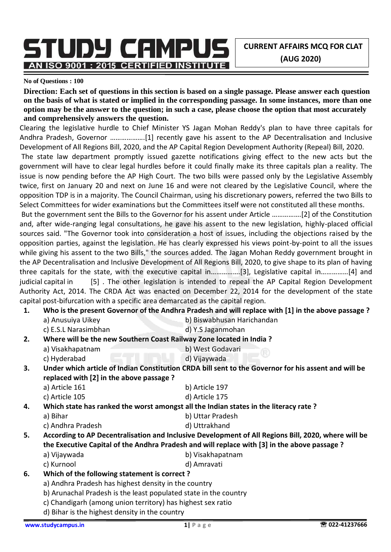**CURRENT AFFAIRS MCQ FOR CLAT (AUG 2020)**

**No of Questions : 100**

AN ISO 9001 : 2015 CERTIFIED INSTITUTE

**Direction: Each set of questions in this section is based on a single passage. Please answer each question on the basis of what is stated or implied in the corresponding passage. In some instances, more than one option may be the answer to the question; in such a case, please choose the option that most accurately and comprehensively answers the question.**

Clearing the legislative hurdle to Chief Minister YS Jagan Mohan Reddy's plan to have three capitals for Andhra Pradesh, Governor ……………….[1] recently gave his assent to the AP Decentralisation and Inclusive Development of All Regions Bill, 2020, and the AP Capital Region Development Authority (Repeal) Bill, 2020.

The state law department promptly issued gazette notifications giving effect to the new acts but the government will have to clear legal hurdles before it could finally make its three capitals plan a reality. The issue is now pending before the AP High Court. The two bills were passed only by the Legislative Assembly twice, first on January 20 and next on June 16 and were not cleared by the Legislative Council, where the opposition TDP is in a majority. The Council Chairman, using his discretionary powers, referred the two Bills to Select Committees for wider examinations but the Committees itself were not constituted all these months.

But the government sent the Bills to the Governor for his assent under Article …………….[2] of the Constitution and, after wide-ranging legal consultations, he gave his assent to the new legislation, highly-placed official sources said. "The Governor took into consideration a host of issues, including the objections raised by the opposition parties, against the legislation. He has clearly expressed his views point-by-point to all the issues while giving his assent to the two Bills," the sources added. The Jagan Mohan Reddy government brought in the AP Decentralisation and Inclusive Development of All Regions Bill, 2020, to give shape to its plan of having three capitals for the state, with the executive capital in…………….[3], Legislative capital in……………[4] and judicial capital in [5]. The other legislation is intended to repeal the AP Capital Region Development Authority Act, 2014. The CRDA Act was enacted on December 22, 2014 for the development of the state capital post-bifurcation with a specific area demarcated as the capital region.

**1. Who is the present Governor of the Andhra Pradesh and will replace with [1] in the above passage ?** a) Anusuiya Uikey b) Biswabhusan Harichandan c) E.S.L Narasimbhan d) Y.S Jaganmohan **2. Where will be the new Southern Coast Railway Zone located in India ?** a) Visakhapatnam b) West Godavari c) Hyderabad d) Vijaywada **3. Under which article of Indian Constitution CRDA bill sent to the Governor for his assent and will be** 

**replaced with [2] in the above passage ?** a) Article 161 b) Article 197

c) Article 105 d) Article 175

**4. Which state has ranked the worst amongst all the Indian states in the literacy rate ?**

- a) Bihar b) Uttar Pradesh
- c) Andhra Pradesh d) Uttrakhand
- **5. According to AP Decentralisation and Inclusive Development of All Regions Bill, 2020, where will be the Executive Capital of the Andhra Pradesh and will replace with [3] in the above passage ?**
	- a) Vijaywada b) Visakhapatnam
	- c) Kurnool d) Amravati

### **6. Which of the following statement is correct ?**

- a) Andhra Pradesh has highest density in the country
- b) Arunachal Pradesh is the least populated state in the country
- c) Chandigarh (among union territory) has highest sex ratio
- d) Bihar is the highest density in the country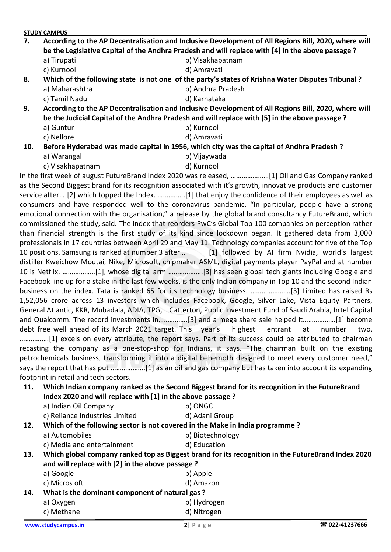| 7. | According to the AP Decentralisation and Inclusive Development of All Regions Bill, 2020, where will<br>be the Legislative Capital of the Andhra Pradesh and will replace with [4] in the above passage? |                   |  |
|----|----------------------------------------------------------------------------------------------------------------------------------------------------------------------------------------------------------|-------------------|--|
|    | a) Tirupati                                                                                                                                                                                              | b) Visakhapatnam  |  |
|    | c) Kurnool                                                                                                                                                                                               | d) Amravati       |  |
| 8. | Which of the following state is not one of the party's states of Krishna Water Disputes Tribunal?                                                                                                        |                   |  |
|    | a) Maharashtra                                                                                                                                                                                           | b) Andhra Pradesh |  |

c) Tamil Nadu d) Karnataka

**9. According to the AP Decentralisation and Inclusive Development of All Regions Bill, 2020, where will be the Judicial Capital of the Andhra Pradesh and will replace with [5] in the above passage ?** a) Guntur b) Kurnool

c) Nellore d) Amravati

**10. Before Hyderabad was made capital in 1956, which city was the capital of Andhra Pradesh ?**

- a) Warangal b) Vijaywada
- c) Visakhapatnam d) Kurnool

In the first week of august FutureBrand Index 2020 was released, …………………[1] Oil and Gas Company ranked as the Second Biggest brand for its recognition associated with it's growth, innovative products and customer service after… [2] which topped the Index. ….………..[1] that enjoy the confidence of their employees as well as consumers and have responded well to the coronavirus pandemic. "In particular, people have a strong emotional connection with the organisation," a release by the global brand consultancy FutureBrand, which commissioned the study, said. The index that reorders PwC's Global Top 100 companies on perception rather than financial strength is the first study of its kind since lockdown began. It gathered data from 3,000 professionals in 17 countries between April 29 and May 11. Technology companies account for five of the Top 10 positions. Samsung is ranked at number 3 after… [1] followed by AI firm Nvidia, world's largest distiller Kweichow Moutai, Nike, Microsoft, chipmaker ASML, digital payments player PayPal and at number 10 is Netflix. ………………[1], whose digital arm ……………….[3] has seen global tech giants including Google and Facebook line up for a stake in the last few weeks, is the only Indian company in Top 10 and the second Indian business on the index. Tata is ranked 65 for its technology business. ………………….[3] Limited has raised Rs 1,52,056 crore across 13 investors which includes Facebook, Google, Silver Lake, Vista Equity Partners, General Atlantic, KKR, Mubadala, ADIA, TPG, L Catterton, Public Investment Fund of Saudi Arabia, Intel Capital and Qualcomm. The record investments in…………….[3] and a mega share sale helped it………………[1] become debt free well ahead of its March 2021 target. This year's highest entrant at number two, …………….[1] excels on every attribute, the report says. Part of its success could be attributed to chairman recasting the company as a one-stop-shop for Indians, it says. "The chairman built on the existing petrochemicals business, transforming it into a digital behemoth designed to meet every customer need," says the report that has put ……………….[1] as an oil and gas company but has taken into account its expanding footprint in retail and tech sectors.

**11. Which Indian company ranked as the Second Biggest brand for its recognition in the FutureBrand Index 2020 and will replace with [1] in the above passage ?** a) Indian Oil Company b) ONGC

| c) Reliance Industries Limited | d) Adani Group |
|--------------------------------|----------------|

**12. Which of the following sector is not covered in the Make in India programme ?**

- a) Automobiles b) Biotechnology
- c) Media and entertainment d) Education

**13. Which global company ranked top as Biggest brand for its recognition in the FutureBrand Index 2020 and will replace with [2] in the above passage ?**

|     | a) Google                                      | b) Apple    |  |
|-----|------------------------------------------------|-------------|--|
|     | c) Micros oft                                  | d) Amazon   |  |
| 14. | What is the dominant component of natural gas? |             |  |
|     | a) Oxygen                                      | b) Hydrogen |  |
|     | c) Methane                                     | d) Nitrogen |  |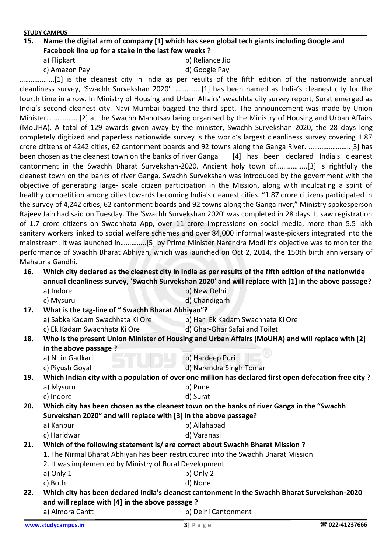#### **15. Name the digital arm of company [1] which has seen global tech giants including Google and Facebook line up for a stake in the last few weeks ?**

a) Flipkart b) Reliance Jio

c) Amazon Pay d) Google Pay

……………….[1] is the cleanest city in India as per results of the fifth edition of the nationwide annual cleanliness survey, 'Swachh Survekshan 2020'. …………..[1] has been named as India's cleanest city for the fourth time in a row. In Ministry of Housing and Urban Affairs' swachhta city survey report, Surat emerged as India's second cleanest city. Navi Mumbai bagged the third spot. The announcement was made by Union Minister………………[2] at the Swachh Mahotsav being organised by the Ministry of Housing and Urban Affairs (MoUHA). A total of 129 awards given away by the minister, Swachh Survekshan 2020, the 28 days long completely digitized and paperless nationwide survey is the world's largest cleanliness survey covering 1.87 crore citizens of 4242 cities, 62 cantonment boards and 92 towns along the Ganga River. …………………..[3] has been chosen as the cleanest town on the banks of river Ganga [4] has been declared India's cleanest cantonment in the Swachh Bharat Survekshan-2020. Ancient holy town of……………..[3] is rightfully the cleanest town on the banks of river Ganga. Swachh Survekshan was introduced by the government with the objective of generating large- scale citizen participation in the Mission, along with inculcating a spirit of healthy competition among cities towards becoming India's cleanest cities. "1.87 crore citizens participated in the survey of 4,242 cities, 62 cantonment boards and 92 towns along the Ganga river," Ministry spokesperson Rajeev Jain had said on Tuesday. The 'Swachh Survekshan 2020' was completed in 28 days. It saw registration of 1.7 crore citizens on Swachhata App, over 11 crore impressions on social media, more than 5.5 lakh sanitary workers linked to social welfare schemes and over 84,000 informal waste-pickers integrated into the mainstream. It was launched in…………..[5] by Prime Minister Narendra Modi it's objective was to monitor the performance of Swachh Bharat Abhiyan, which was launched on Oct 2, 2014, the 150th birth anniversary of Mahatma Gandhi.

#### **16. Which city declared as the cleanest city in India as per results of the fifth edition of the nationwide annual cleanliness survey, 'Swachh Survekshan 2020' and will replace with [1] in the above passage?** a) Indore b) New Delhi

|     | www.studycampus.in                                                                                       | $3$   Page                       | ☎ 022-41237666 |
|-----|----------------------------------------------------------------------------------------------------------|----------------------------------|----------------|
|     | a) Almora Cantt                                                                                          | b) Delhi Cantonment              |                |
|     | and will replace with [4] in the above passage ?                                                         |                                  |                |
| 22. | c) Both<br>Which city has been declared India's cleanest cantonment in the Swachh Bharat Survekshan-2020 | d) None                          |                |
|     | a) Only 1                                                                                                | b) Only 2                        |                |
|     | 2. It was implemented by Ministry of Rural Development                                                   |                                  |                |
|     |                                                                                                          |                                  |                |
|     | 1. The Nirmal Bharat Abhiyan has been restructured into the Swachh Bharat Mission                        |                                  |                |
| 21. | Which of the following statement is/ are correct about Swachh Bharat Mission ?                           |                                  |                |
|     | a) Kanpur<br>c) Haridwar                                                                                 | d) Varanasi                      |                |
|     |                                                                                                          | b) Allahabad                     |                |
|     | Survekshan 2020" and will replace with [3] in the above passage?                                         |                                  |                |
| 20. | Which city has been chosen as the cleanest town on the banks of river Ganga in the "Swachh               |                                  |                |
|     | a) Mysuru<br>c) Indore                                                                                   | b) Pune<br>d) Surat              |                |
|     |                                                                                                          |                                  |                |
| 19. | Which Indian city with a population of over one million has declared first open defecation free city?    |                                  |                |
|     | c) Piyush Goyal                                                                                          | d) Narendra Singh Tomar          |                |
|     | in the above passage?<br>a) Nitin Gadkari                                                                | b) Hardeep Puri                  |                |
| 18. | Who is the present Union Minister of Housing and Urban Affairs (MoUHA) and will replace with [2]         |                                  |                |
|     | c) Ek Kadam Swachhata Ki Ore                                                                             | d) Ghar-Ghar Safai and Toilet    |                |
|     | a) Sabka Kadam Swachhata Ki Ore                                                                          | b) Har Ek Kadam Swachhata Ki Ore |                |
| 17. | What is the tag-line of "Swachh Bharat Abhiyan"?                                                         |                                  |                |
|     | c) Mysuru                                                                                                | d) Chandigarh                    |                |
|     | a) muure                                                                                                 | <u>DINEW DEIIII</u>              |                |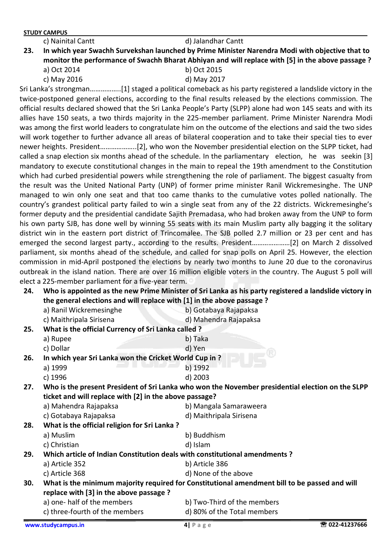|  |  | :) Nainital Cantt |
|--|--|-------------------|
|  |  |                   |
|  |  |                   |
|  |  |                   |

c) Nainital Cantt d) Jalandhar Cantt **23. In which year Swachh Survekshan launched by Prime Minister Narendra Modi with objective that to monitor the performance of Swachh Bharat Abhiyan and will replace with [5] in the above passage ?** a) Oct 2014 b) Oct 2015

c) May 2016 d) May 2017

Sri Lanka's strongman……………..[1] staged a political comeback as his party registered a landslide victory in the twice-postponed general elections, according to the final results released by the elections commission. The official results declared showed that the Sri Lanka People's Party (SLPP) alone had won 145 seats and with its allies have 150 seats, a two thirds majority in the 225-member parliament. Prime Minister Narendra Modi was among the first world leaders to congratulate him on the outcome of the elections and said the two sides will work together to further advance all areas of bilateral cooperation and to take their special ties to ever newer heights. President………………..[2], who won the November presidential election on the SLPP ticket, had called a snap election six months ahead of the schedule. In the parliamentary election, he was seekin [3] mandatory to execute constitutional changes in the main to repeal the 19th amendment to the Constitution which had curbed presidential powers while strengthening the role of parliament. The biggest casualty from the result was the United National Party (UNP) of former prime minister Ranil Wickremesinghe. The UNP managed to win only one seat and that too came thanks to the cumulative votes polled nationally. The country's grandest political party failed to win a single seat from any of the 22 districts. Wickremesinghe's former deputy and the presidential candidate Sajith Premadasa, who had broken away from the UNP to form his own party SJB, has done well by winning 55 seats with its main Muslim party ally bagging it the solitary district win in the eastern port district of Trincomalee. The SJB polled 2.7 million or 23 per cent and has emerged the second largest party., according to the results. President…………………[2] on March 2 dissolved parliament, six months ahead of the schedule, and called for snap polls on April 25. However, the election commission in mid-April postponed the elections by nearly two months to June 20 due to the coronavirus outbreak in the island nation. There are over 16 million eligible voters in the country. The August 5 poll will elect a 225-member parliament for a five-year term.

- **24. Who is appointed as the new Prime Minister of Sri Lanka as his party registered a landslide victory in the general elections and will replace with [1] in the above passage ?** a) Ranil Wickremesinghe b) Gotabaya Rajapaksa c) Maithripala Sirisena d) Mahendra Rajapaksa **25. What is the official Currency of Sri Lanka called ?**
- a) Rupee b) Taka c) Dollar d) Yen **26. In which year Sri Lanka won the Cricket World Cup in ?** a) 1999 b) 1992 c) 1996 d) 2003 **27. Who is the present President of Sri Lanka who won the November presidential election on the SLPP ticket and will replace with [2] in the above passage?** a) Mahendra Rajapaksa b) Mangala Samaraweera c) Gotabaya Rajapaksa d) Maithripala Sirisena **28. What is the official religion for Sri Lanka ?** a) Muslim b) Buddhism c) Christian d) Islam **29. Which article of Indian Constitution deals with constitutional amendments ?** a) Article 352 b) Article 386 c) Article 368 d) None of the above **30. What is the minimum majority required for Constitutional amendment bill to be passed and will replace with [3] in the above passage ?** a) one- half of the members b) Two-Third of the members c) three-fourth of the members d) 80% of the Total members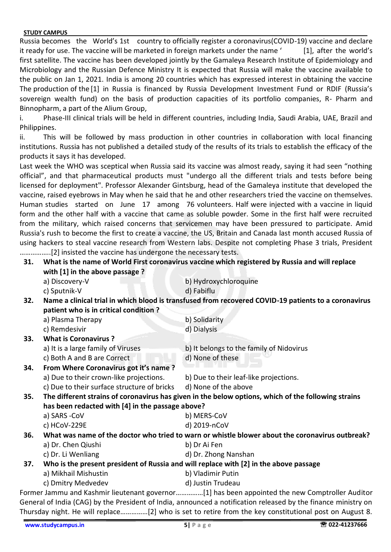Russia becomes the World's 1st country to officially register a coronavirus(COVID-19) vaccine and declare it ready for use. The vaccine will be marketed in foreign markets under the name ' [1], after the world's first satellite. The vaccine has been developed jointly by the Gamaleya Research Institute of Epidemiology and Microbiology and the Russian Defence Ministry It is expected that Russia will make the vaccine available to the public on Jan 1, 2021. India is among 20 countries which has expressed interest in obtaining the vaccine The production of the [1] in Russia is financed by Russia Development Investment Fund or RDIF (Russia's sovereign wealth fund) on the basis of production capacities of its portfolio companies, R- Pharm and Binnopharm, a part of the Alium Group,

i. Phase-III clinical trials will be held in different countries, including India, Saudi Arabia, UAE, Brazil and Philippines.

ii. This will be followed by mass production in other countries in collaboration with local financing institutions. Russia has not published a detailed study of the results of its trials to establish the efficacy of the products it says it has developed.

Last week the WHO was sceptical when Russia said its vaccine was almost ready, saying it had seen "nothing official", and that pharmaceutical products must "undergo all the different trials and tests before being licensed for deployment". Professor Alexander Gintsburg, head of the Gamaleya institute that developed the vaccine, raised eyebrows in May when he said that he and other researchers tried the vaccine on themselves. Human studies started on June 17 among 76 volunteers. Half were injected with a vaccine in liquid form and the other half with a vaccine that came as soluble powder. Some in the first half were recruited from the military, which raised concerns that servicemen may have been pressured to participate. Amid Russia's rush to become the first to create a vaccine, the US, Britain and Canada last month accused Russia of using hackers to steal vaccine research from Western labs. Despite not completing Phase 3 trials, President ……………..[2] insisted the vaccine has undergone the necessary tests.

| What is the name of World First coronavirus vaccine which registered by Russia and will replace<br>31.<br>with [1] in the above passage ? |                                                  |                                                                                                                  |  |
|-------------------------------------------------------------------------------------------------------------------------------------------|--------------------------------------------------|------------------------------------------------------------------------------------------------------------------|--|
|                                                                                                                                           | a) Discovery-V                                   | b) Hydroxychloroquine                                                                                            |  |
|                                                                                                                                           | c) Sputnik-V                                     | d) Fabiflu                                                                                                       |  |
| 32.                                                                                                                                       |                                                  | Name a clinical trial in which blood is transfused from recovered COVID-19 patients to a coronavirus             |  |
|                                                                                                                                           | patient who is in critical condition?            |                                                                                                                  |  |
|                                                                                                                                           | a) Plasma Therapy                                | b) Solidarity                                                                                                    |  |
|                                                                                                                                           | c) Remdesivir                                    | d) Dialysis                                                                                                      |  |
| 33.                                                                                                                                       | <b>What is Coronavirus?</b>                      |                                                                                                                  |  |
|                                                                                                                                           | a) It is a large family of Viruses               | b) It belongs to the family of Nidovirus                                                                         |  |
|                                                                                                                                           | c) Both A and B are Correct                      | d) None of these                                                                                                 |  |
| 34.                                                                                                                                       | From Where Coronavirus got it's name?            |                                                                                                                  |  |
|                                                                                                                                           | a) Due to their crown-like projections.          | b) Due to their leaf-like projections.                                                                           |  |
|                                                                                                                                           | c) Due to their surface structure of bricks      | d) None of the above                                                                                             |  |
| 35.                                                                                                                                       |                                                  | The different strains of coronavirus has given in the below options, which of the following strains              |  |
|                                                                                                                                           | has been redacted with [4] in the passage above? |                                                                                                                  |  |
|                                                                                                                                           | a) SARS -CoV                                     | b) MERS-CoV                                                                                                      |  |
|                                                                                                                                           | c) HCoV-229E                                     | d) 2019-nCoV                                                                                                     |  |
| 36.                                                                                                                                       |                                                  | What was name of the doctor who tried to warn or whistle blower about the coronavirus outbreak?                  |  |
|                                                                                                                                           | a) Dr. Chen Qiushi                               | b) Dr Ai Fen                                                                                                     |  |
|                                                                                                                                           | c) Dr. Li Wenliang                               | d) Dr. Zhong Nanshan                                                                                             |  |
| 37.                                                                                                                                       |                                                  | Who is the present president of Russia and will replace with [2] in the above passage                            |  |
|                                                                                                                                           | a) Mikhail Mishustin                             | b) Vladimir Putin                                                                                                |  |
|                                                                                                                                           | c) Dmitry Medvedev                               | d) Justin Trudeau                                                                                                |  |
|                                                                                                                                           |                                                  | Former Jammu and Kashmir lieutenant governor[1] has been appointed the new Comptroller Auditor                   |  |
|                                                                                                                                           |                                                  | Conoral of India $(CAC)$ by the Procident of India, announced a notification released by the finance ministry on |  |

General of India (CAG) by the President of India, announced a notification released by the finance ministry on Thursday night. He will replace……………[2] who is set to retire from the key constitutional post on August 8.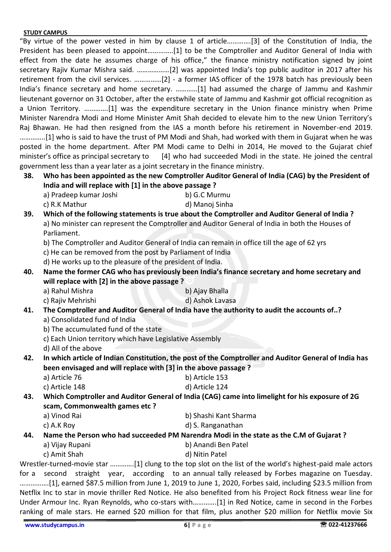"By virtue of the power vested in him by clause 1 of article………….[3] of the Constitution of India, the President has been pleased to appoint…………..[1] to be the Comptroller and Auditor General of India with effect from the date he assumes charge of his office," the finance ministry notification signed by joint secretary Rajiv Kumar Mishra said. ………………[2] was appointed India's top public auditor in 2017 after his retirement from the civil services. ……………[2] - a former IAS officer of the 1978 batch has previously been India's finance secretary and home secretary. …………[1] had assumed the charge of Jammu and Kashmir lieutenant governor on 31 October, after the erstwhile state of Jammu and Kashmir got official recognition as a Union Territory. ………….[1] was the expenditure secretary in the Union finance ministry when Prime Minister Narendra Modi and Home Minister Amit Shah decided to elevate him to the new Union Territory's Raj Bhawan. He had then resigned from the IAS a month before his retirement in November-end 2019. …………..[1] who is said to have the trust of PM Modi and Shah, had worked with them in Gujarat when he was posted in the home department. After PM Modi came to Delhi in 2014, He moved to the Gujarat chief minister's office as principal secretary to [4] who had succeeded Modi in the state. He joined the central government less than a year later as a joint secretary in the finance ministry.

- **38. Who has been appointed as the new Comptroller Auditor General of India (CAG) by the President of India and will replace with [1] in the above passage ?**
	- a) Pradeep kumar Joshi b) G.C Murmu
	- c) R.K Mathur d) Manoj Sinha

**39. Which of the following statements is true about the Comptroller and Auditor General of India ?** a) No minister can represent the Comptroller and Auditor General of India in both the Houses of Parliament.

- b) The Comptroller and Auditor General of India can remain in office till the age of 62 yrs
- c) He can be removed from the post by Parliament of India

d) He works up to the pleasure of the president of India.

**40. Name the former CAG who has previously been India's finance secretary and home secretary and will replace with [2] in the above passage ?**

a) Rahul Mishra b) Ajay Bhalla

# c) Rajiv Mehrishi d) Ashok Lavasa

- **41. The Comptroller and Auditor General of India have the authority to audit the accounts of..?** a) Consolidated fund of India
	- b) The accumulated fund of the state
	- c) Each Union territory which have Legislative Assembly
	- d) All of the above

**42. In which article of Indian Constitution, the post of the Comptroller and Auditor General of India has been envisaged and will replace with [3] in the above passage ?**

a) Article 76 b) Article 153 c) Article 148 d) Article 124

**43. Which Comptroller and Auditor General of India (CAG) came into limelight for his exposure of 2G scam, Commonwealth games etc ?**

- a) Vinod Rai b) Shashi Kant Sharma
- c) A.K Roy d) S. Ranganathan

#### **44. Name the Person who had succeeded PM Narendra Modi in the state as the C.M of Gujarat ?**

- a) Vijay Rupani b) Anandi Ben Patel
- c) Amit Shah d) Nitin Patel

Wrestler-turned-movie star ………….[1] clung to the top slot on the list of the world's highest-paid male actors for a second straight year, according to an annual tally released by Forbes magazine on Tuesday. …………….[1], earned \$87.5 million from June 1, 2019 to June 1, 2020, Forbes said, including \$23.5 million from Netflix Inc to star in movie thriller Red Notice. He also benefited from his Project Rock fitness wear line for Under Armour Inc. Ryan Reynolds, who co-stars with………….[1] in Red Notice, came in second in the Forbes ranking of male stars. He earned \$20 million for that film, plus another \$20 million for Netflix movie Six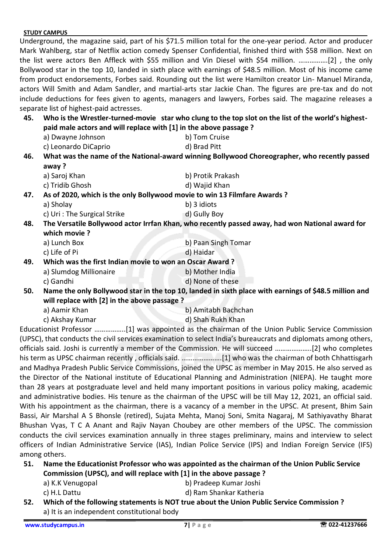Underground, the magazine said, part of his \$71.5 million total for the one-year period. Actor and producer Mark Wahlberg, star of Netflix action comedy Spenser Confidential, finished third with \$58 million. Next on the list were actors Ben Affleck with \$55 million and Vin Diesel with \$54 million. …………….[2] , the only Bollywood star in the top 10, landed in sixth place with earnings of \$48.5 million. Most of his income came from product endorsements, Forbes said. Rounding out the list were Hamilton creator Lin- Manuel Miranda, actors Will Smith and Adam Sandler, and martial-arts star Jackie Chan. The figures are pre-tax and do not include deductions for fees given to agents, managers and lawyers, Forbes said. The magazine releases a separate list of highest-paid actresses.

#### **45. Who is the Wrestler-turned-movie star who clung to the top slot on the list of the world's highestpaid male actors and will replace with [1] in the above passage ?**

- a) Dwayne Johnson b) Tom Cruise
- c) Leonardo DiCaprio de la contrata de Brad Pitt

**46. What was the name of the National-award winning Bollywood Choreographer, who recently passed away ?**

- a) Saroj Khan b) Protik Prakash c) Tridib Ghosh d) Wajid Khan
- **47. As of 2020, which is the only Bollywood movie to win 13 Filmfare Awards ?**
	- a) Sholay b) 3 idiots
	- c) Uri : The Surgical Strike d) Gully Boy
- **48. The Versatile Bollywood actor Irrfan Khan, who recently passed away, had won National award for which movie ?**
	- a) Lunch Box b) Paan Singh Tomar
		- c) Life of Pi d) Haidar
- **49. Which was the first Indian movie to won an Oscar Award ?** a) Slumdog Millionaire b) Mother India
	- c) Gandhi d) None of these
- **50. Name the only Bollywood star in the top 10, landed in sixth place with earnings of \$48.5 million and will replace with [2] in the above passage ?**
	- a) Aamir Khan b) Amitabh Bachchan
	- c) Akshay Kumar d) Shah Rukh Khan

Educationist Professor ……………..[1] was appointed as the chairman of the Union Public Service Commission (UPSC), that conducts the civil services examination to select India's bureaucrats and diplomats among others, officials said. Joshi is currently a member of the Commission. He will succeed ………………..[2] who completes his term as UPSC chairman recently , officials said. ………………….[1] who was the chairman of both Chhattisgarh and Madhya Pradesh Public Service Commissions, joined the UPSC as member in May 2015. He also served as the Director of the National institute of Educational Planning and Administration (NIEPA). He taught more than 28 years at postgraduate level and held many important positions in various policy making, academic and administrative bodies. His tenure as the chairman of the UPSC will be till May 12, 2021, an official said. With his appointment as the chairman, there is a vacancy of a member in the UPSC. At present, Bhim Sain Bassi, Air Marshal A S Bhonsle (retired), Sujata Mehta, Manoj Soni, Smita Nagaraj, M Sathiyavathy Bharat Bhushan Vyas, T C A Anant and Rajiv Nayan Choubey are other members of the UPSC. The commission conducts the civil services examination annually in three stages preliminary, mains and interview to select officers of Indian Administrative Service (IAS), Indian Police Service (IPS) and Indian Foreign Service (IFS) among others.

#### **51. Name the Educationist Professor who was appointed as the chairman of the Union Public Service Commission (UPSC), and will replace with [1] in the above passage ?**

- 
- a) K.K Venugopal b) Pradeep Kumar Joshi
- 
- c) H.L Dattu d) Ram Shankar Katheria
- **52. Which of the following statements is NOT true about the Union Public Service Commission ?** a) It is an independent constitutional body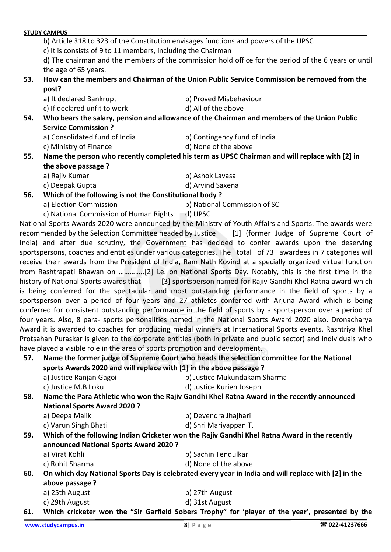| 57.<br>58.<br>59.<br>60.<br>61. | have played a visible role in the area of sports promotion and development.<br>sports Awards 2020 and will replace with [1] in the above passage ?<br>a) Justice Ranjan Gagoi<br>c) Justice M.B Loku<br><b>National Sports Award 2020?</b><br>a) Deepa Malik<br>c) Varun Singh Bhati<br>announced National Sports Award 2020 ?<br>a) Virat Kohli<br>c) Rohit Sharma<br>above passage ?<br>a) 25th August<br>c) 29th August<br>www.studycampus.in | is being conferred for the spectacular and most outstanding performance in the field of sports by a<br>sportsperson over a period of four years and 27 athletes conferred with Arjuna Award which is being<br>conferred for consistent outstanding performance in the field of sports by a sportsperson over a period of<br>four years. Also, 8 para- sports personalities named in the National Sports Award 2020 also. Dronacharya<br>Award it is awarded to coaches for producing medal winners at International Sports events. Rashtriya Khel<br>Protsahan Puraskar is given to the corporate entities (both in private and public sector) and individuals who<br>Name the former judge of Supreme Court who heads the selection committee for the National<br>b) Justice Mukundakam Sharma<br>d) Justice Kurien Joseph<br>Name the Para Athletic who won the Rajiv Gandhi Khel Ratna Award in the recently announced<br>b) Devendra Jhajhari<br>d) Shri Mariyappan T.<br>Which of the following Indian Cricketer won the Rajiv Gandhi Khel Ratna Award in the recently<br>b) Sachin Tendulkar<br>d) None of the above<br>On which day National Sports Day is celebrated every year in India and will replace with [2] in the<br>b) 27th August<br>d) 31st August<br>Which cricketer won the "Sir Garfield Sobers Trophy" for 'player of the year', presented by the<br>$8$   Page<br>☎ 022-41237666 |
|---------------------------------|--------------------------------------------------------------------------------------------------------------------------------------------------------------------------------------------------------------------------------------------------------------------------------------------------------------------------------------------------------------------------------------------------------------------------------------------------|----------------------------------------------------------------------------------------------------------------------------------------------------------------------------------------------------------------------------------------------------------------------------------------------------------------------------------------------------------------------------------------------------------------------------------------------------------------------------------------------------------------------------------------------------------------------------------------------------------------------------------------------------------------------------------------------------------------------------------------------------------------------------------------------------------------------------------------------------------------------------------------------------------------------------------------------------------------------------------------------------------------------------------------------------------------------------------------------------------------------------------------------------------------------------------------------------------------------------------------------------------------------------------------------------------------------------------------------------------------------------------------------------------|
|                                 |                                                                                                                                                                                                                                                                                                                                                                                                                                                  |                                                                                                                                                                                                                                                                                                                                                                                                                                                                                                                                                                                                                                                                                                                                                                                                                                                                                                                                                                                                                                                                                                                                                                                                                                                                                                                                                                                                          |
|                                 |                                                                                                                                                                                                                                                                                                                                                                                                                                                  |                                                                                                                                                                                                                                                                                                                                                                                                                                                                                                                                                                                                                                                                                                                                                                                                                                                                                                                                                                                                                                                                                                                                                                                                                                                                                                                                                                                                          |
|                                 |                                                                                                                                                                                                                                                                                                                                                                                                                                                  |                                                                                                                                                                                                                                                                                                                                                                                                                                                                                                                                                                                                                                                                                                                                                                                                                                                                                                                                                                                                                                                                                                                                                                                                                                                                                                                                                                                                          |
|                                 |                                                                                                                                                                                                                                                                                                                                                                                                                                                  |                                                                                                                                                                                                                                                                                                                                                                                                                                                                                                                                                                                                                                                                                                                                                                                                                                                                                                                                                                                                                                                                                                                                                                                                                                                                                                                                                                                                          |
|                                 |                                                                                                                                                                                                                                                                                                                                                                                                                                                  |                                                                                                                                                                                                                                                                                                                                                                                                                                                                                                                                                                                                                                                                                                                                                                                                                                                                                                                                                                                                                                                                                                                                                                                                                                                                                                                                                                                                          |
|                                 |                                                                                                                                                                                                                                                                                                                                                                                                                                                  |                                                                                                                                                                                                                                                                                                                                                                                                                                                                                                                                                                                                                                                                                                                                                                                                                                                                                                                                                                                                                                                                                                                                                                                                                                                                                                                                                                                                          |
|                                 |                                                                                                                                                                                                                                                                                                                                                                                                                                                  |                                                                                                                                                                                                                                                                                                                                                                                                                                                                                                                                                                                                                                                                                                                                                                                                                                                                                                                                                                                                                                                                                                                                                                                                                                                                                                                                                                                                          |
|                                 |                                                                                                                                                                                                                                                                                                                                                                                                                                                  |                                                                                                                                                                                                                                                                                                                                                                                                                                                                                                                                                                                                                                                                                                                                                                                                                                                                                                                                                                                                                                                                                                                                                                                                                                                                                                                                                                                                          |
|                                 |                                                                                                                                                                                                                                                                                                                                                                                                                                                  |                                                                                                                                                                                                                                                                                                                                                                                                                                                                                                                                                                                                                                                                                                                                                                                                                                                                                                                                                                                                                                                                                                                                                                                                                                                                                                                                                                                                          |
|                                 |                                                                                                                                                                                                                                                                                                                                                                                                                                                  |                                                                                                                                                                                                                                                                                                                                                                                                                                                                                                                                                                                                                                                                                                                                                                                                                                                                                                                                                                                                                                                                                                                                                                                                                                                                                                                                                                                                          |
|                                 |                                                                                                                                                                                                                                                                                                                                                                                                                                                  |                                                                                                                                                                                                                                                                                                                                                                                                                                                                                                                                                                                                                                                                                                                                                                                                                                                                                                                                                                                                                                                                                                                                                                                                                                                                                                                                                                                                          |
|                                 |                                                                                                                                                                                                                                                                                                                                                                                                                                                  |                                                                                                                                                                                                                                                                                                                                                                                                                                                                                                                                                                                                                                                                                                                                                                                                                                                                                                                                                                                                                                                                                                                                                                                                                                                                                                                                                                                                          |
|                                 |                                                                                                                                                                                                                                                                                                                                                                                                                                                  |                                                                                                                                                                                                                                                                                                                                                                                                                                                                                                                                                                                                                                                                                                                                                                                                                                                                                                                                                                                                                                                                                                                                                                                                                                                                                                                                                                                                          |
|                                 |                                                                                                                                                                                                                                                                                                                                                                                                                                                  |                                                                                                                                                                                                                                                                                                                                                                                                                                                                                                                                                                                                                                                                                                                                                                                                                                                                                                                                                                                                                                                                                                                                                                                                                                                                                                                                                                                                          |
|                                 |                                                                                                                                                                                                                                                                                                                                                                                                                                                  |                                                                                                                                                                                                                                                                                                                                                                                                                                                                                                                                                                                                                                                                                                                                                                                                                                                                                                                                                                                                                                                                                                                                                                                                                                                                                                                                                                                                          |
|                                 |                                                                                                                                                                                                                                                                                                                                                                                                                                                  |                                                                                                                                                                                                                                                                                                                                                                                                                                                                                                                                                                                                                                                                                                                                                                                                                                                                                                                                                                                                                                                                                                                                                                                                                                                                                                                                                                                                          |
|                                 |                                                                                                                                                                                                                                                                                                                                                                                                                                                  |                                                                                                                                                                                                                                                                                                                                                                                                                                                                                                                                                                                                                                                                                                                                                                                                                                                                                                                                                                                                                                                                                                                                                                                                                                                                                                                                                                                                          |
|                                 |                                                                                                                                                                                                                                                                                                                                                                                                                                                  |                                                                                                                                                                                                                                                                                                                                                                                                                                                                                                                                                                                                                                                                                                                                                                                                                                                                                                                                                                                                                                                                                                                                                                                                                                                                                                                                                                                                          |
|                                 |                                                                                                                                                                                                                                                                                                                                                                                                                                                  |                                                                                                                                                                                                                                                                                                                                                                                                                                                                                                                                                                                                                                                                                                                                                                                                                                                                                                                                                                                                                                                                                                                                                                                                                                                                                                                                                                                                          |
|                                 |                                                                                                                                                                                                                                                                                                                                                                                                                                                  |                                                                                                                                                                                                                                                                                                                                                                                                                                                                                                                                                                                                                                                                                                                                                                                                                                                                                                                                                                                                                                                                                                                                                                                                                                                                                                                                                                                                          |
|                                 |                                                                                                                                                                                                                                                                                                                                                                                                                                                  |                                                                                                                                                                                                                                                                                                                                                                                                                                                                                                                                                                                                                                                                                                                                                                                                                                                                                                                                                                                                                                                                                                                                                                                                                                                                                                                                                                                                          |
|                                 |                                                                                                                                                                                                                                                                                                                                                                                                                                                  |                                                                                                                                                                                                                                                                                                                                                                                                                                                                                                                                                                                                                                                                                                                                                                                                                                                                                                                                                                                                                                                                                                                                                                                                                                                                                                                                                                                                          |
|                                 |                                                                                                                                                                                                                                                                                                                                                                                                                                                  |                                                                                                                                                                                                                                                                                                                                                                                                                                                                                                                                                                                                                                                                                                                                                                                                                                                                                                                                                                                                                                                                                                                                                                                                                                                                                                                                                                                                          |
|                                 |                                                                                                                                                                                                                                                                                                                                                                                                                                                  |                                                                                                                                                                                                                                                                                                                                                                                                                                                                                                                                                                                                                                                                                                                                                                                                                                                                                                                                                                                                                                                                                                                                                                                                                                                                                                                                                                                                          |
|                                 | history of National Sports awards that                                                                                                                                                                                                                                                                                                                                                                                                           | [3] sportsperson named for Rajiv Gandhi Khel Ratna award which                                                                                                                                                                                                                                                                                                                                                                                                                                                                                                                                                                                                                                                                                                                                                                                                                                                                                                                                                                                                                                                                                                                                                                                                                                                                                                                                           |
|                                 |                                                                                                                                                                                                                                                                                                                                                                                                                                                  | from Rashtrapati Bhawan on [2] i.e. on National Sports Day. Notably, this is the first time in the                                                                                                                                                                                                                                                                                                                                                                                                                                                                                                                                                                                                                                                                                                                                                                                                                                                                                                                                                                                                                                                                                                                                                                                                                                                                                                       |
|                                 |                                                                                                                                                                                                                                                                                                                                                                                                                                                  | receive their awards from the President of India, Ram Nath Kovind at a specially organized virtual function                                                                                                                                                                                                                                                                                                                                                                                                                                                                                                                                                                                                                                                                                                                                                                                                                                                                                                                                                                                                                                                                                                                                                                                                                                                                                              |
|                                 |                                                                                                                                                                                                                                                                                                                                                                                                                                                  | sportspersons, coaches and entities under various categories. The total of 73 awardees in 7 categories will                                                                                                                                                                                                                                                                                                                                                                                                                                                                                                                                                                                                                                                                                                                                                                                                                                                                                                                                                                                                                                                                                                                                                                                                                                                                                              |
|                                 |                                                                                                                                                                                                                                                                                                                                                                                                                                                  | India) and after due scrutiny, the Government has decided to confer awards upon the deserving                                                                                                                                                                                                                                                                                                                                                                                                                                                                                                                                                                                                                                                                                                                                                                                                                                                                                                                                                                                                                                                                                                                                                                                                                                                                                                            |
|                                 |                                                                                                                                                                                                                                                                                                                                                                                                                                                  | recommended by the Selection Committee headed by Justice [1] (former Judge of Supreme Court of                                                                                                                                                                                                                                                                                                                                                                                                                                                                                                                                                                                                                                                                                                                                                                                                                                                                                                                                                                                                                                                                                                                                                                                                                                                                                                           |
|                                 |                                                                                                                                                                                                                                                                                                                                                                                                                                                  | National Sports Awards 2020 were announced by the Ministry of Youth Affairs and Sports. The awards were                                                                                                                                                                                                                                                                                                                                                                                                                                                                                                                                                                                                                                                                                                                                                                                                                                                                                                                                                                                                                                                                                                                                                                                                                                                                                                  |
|                                 | c) National Commission of Human Rights                                                                                                                                                                                                                                                                                                                                                                                                           | d) UPSC                                                                                                                                                                                                                                                                                                                                                                                                                                                                                                                                                                                                                                                                                                                                                                                                                                                                                                                                                                                                                                                                                                                                                                                                                                                                                                                                                                                                  |
|                                 | a) Election Commission                                                                                                                                                                                                                                                                                                                                                                                                                           | b) National Commission of SC                                                                                                                                                                                                                                                                                                                                                                                                                                                                                                                                                                                                                                                                                                                                                                                                                                                                                                                                                                                                                                                                                                                                                                                                                                                                                                                                                                             |
| 56.                             | Which of the following is not the Constitutional body?                                                                                                                                                                                                                                                                                                                                                                                           |                                                                                                                                                                                                                                                                                                                                                                                                                                                                                                                                                                                                                                                                                                                                                                                                                                                                                                                                                                                                                                                                                                                                                                                                                                                                                                                                                                                                          |
|                                 | c) Deepak Gupta                                                                                                                                                                                                                                                                                                                                                                                                                                  | d) Arvind Saxena                                                                                                                                                                                                                                                                                                                                                                                                                                                                                                                                                                                                                                                                                                                                                                                                                                                                                                                                                                                                                                                                                                                                                                                                                                                                                                                                                                                         |
|                                 | a) Rajiv Kumar                                                                                                                                                                                                                                                                                                                                                                                                                                   | b) Ashok Lavasa                                                                                                                                                                                                                                                                                                                                                                                                                                                                                                                                                                                                                                                                                                                                                                                                                                                                                                                                                                                                                                                                                                                                                                                                                                                                                                                                                                                          |
|                                 | the above passage ?                                                                                                                                                                                                                                                                                                                                                                                                                              |                                                                                                                                                                                                                                                                                                                                                                                                                                                                                                                                                                                                                                                                                                                                                                                                                                                                                                                                                                                                                                                                                                                                                                                                                                                                                                                                                                                                          |
| 55.                             |                                                                                                                                                                                                                                                                                                                                                                                                                                                  | Name the person who recently completed his term as UPSC Chairman and will replace with [2] in                                                                                                                                                                                                                                                                                                                                                                                                                                                                                                                                                                                                                                                                                                                                                                                                                                                                                                                                                                                                                                                                                                                                                                                                                                                                                                            |
|                                 | c) Ministry of Finance                                                                                                                                                                                                                                                                                                                                                                                                                           | d) None of the above                                                                                                                                                                                                                                                                                                                                                                                                                                                                                                                                                                                                                                                                                                                                                                                                                                                                                                                                                                                                                                                                                                                                                                                                                                                                                                                                                                                     |
|                                 | a) Consolidated fund of India                                                                                                                                                                                                                                                                                                                                                                                                                    | b) Contingency fund of India                                                                                                                                                                                                                                                                                                                                                                                                                                                                                                                                                                                                                                                                                                                                                                                                                                                                                                                                                                                                                                                                                                                                                                                                                                                                                                                                                                             |
| 54.                             | <b>Service Commission ?</b>                                                                                                                                                                                                                                                                                                                                                                                                                      | Who bears the salary, pension and allowance of the Chairman and members of the Union Public                                                                                                                                                                                                                                                                                                                                                                                                                                                                                                                                                                                                                                                                                                                                                                                                                                                                                                                                                                                                                                                                                                                                                                                                                                                                                                              |
|                                 | c) If declared unfit to work                                                                                                                                                                                                                                                                                                                                                                                                                     | d) All of the above                                                                                                                                                                                                                                                                                                                                                                                                                                                                                                                                                                                                                                                                                                                                                                                                                                                                                                                                                                                                                                                                                                                                                                                                                                                                                                                                                                                      |
|                                 | a) It declared Bankrupt                                                                                                                                                                                                                                                                                                                                                                                                                          | b) Proved Misbehaviour                                                                                                                                                                                                                                                                                                                                                                                                                                                                                                                                                                                                                                                                                                                                                                                                                                                                                                                                                                                                                                                                                                                                                                                                                                                                                                                                                                                   |
|                                 | post?                                                                                                                                                                                                                                                                                                                                                                                                                                            |                                                                                                                                                                                                                                                                                                                                                                                                                                                                                                                                                                                                                                                                                                                                                                                                                                                                                                                                                                                                                                                                                                                                                                                                                                                                                                                                                                                                          |
|                                 |                                                                                                                                                                                                                                                                                                                                                                                                                                                  | How can the members and Chairman of the Union Public Service Commission be removed from the                                                                                                                                                                                                                                                                                                                                                                                                                                                                                                                                                                                                                                                                                                                                                                                                                                                                                                                                                                                                                                                                                                                                                                                                                                                                                                              |
|                                 | the age of 65 years.                                                                                                                                                                                                                                                                                                                                                                                                                             |                                                                                                                                                                                                                                                                                                                                                                                                                                                                                                                                                                                                                                                                                                                                                                                                                                                                                                                                                                                                                                                                                                                                                                                                                                                                                                                                                                                                          |
| 53.                             |                                                                                                                                                                                                                                                                                                                                                                                                                                                  | d) The chairman and the members of the commission hold office for the period of the 6 years or until                                                                                                                                                                                                                                                                                                                                                                                                                                                                                                                                                                                                                                                                                                                                                                                                                                                                                                                                                                                                                                                                                                                                                                                                                                                                                                     |
|                                 |                                                                                                                                                                                                                                                                                                                                                                                                                                                  |                                                                                                                                                                                                                                                                                                                                                                                                                                                                                                                                                                                                                                                                                                                                                                                                                                                                                                                                                                                                                                                                                                                                                                                                                                                                                                                                                                                                          |
|                                 | c) It is consists of 9 to 11 members, including the Chairman                                                                                                                                                                                                                                                                                                                                                                                     |                                                                                                                                                                                                                                                                                                                                                                                                                                                                                                                                                                                                                                                                                                                                                                                                                                                                                                                                                                                                                                                                                                                                                                                                                                                                                                                                                                                                          |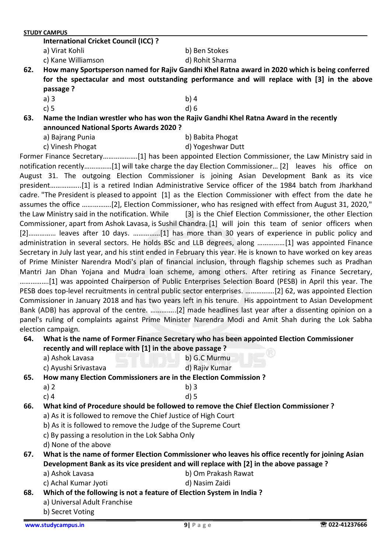**International Cricket Council (ICC) ?**

- a) Virat Kohli b) Ben Stokes
- c) Kane Williamson d) Rohit Sharma

- **62. How many Sportsperson named for Rajiv Gandhi Khel Ratna award in 2020 which is being conferred for the spectacular and most outstanding performance and will replace with [3] in the above passage ?**
	-
	- a) 3 b) 4
		-
- c) 5 d) 6 **63. Name the Indian wrestler who has won the Rajiv Gandhi Khel Ratna Award in the recently announced National Sports Awards 2020 ?**
	- a) Bajrang Punia b) Babita Phogat
		-
	- c) Vinesh Phogat d) Yogeshwar Dutt

Former Finance Secretary……………….[1] has been appointed Election Commissioner, the Law Ministry said in notification recently……………[1] will take charge the day Election Commissioner… [2] leaves his office on August 31. The outgoing Election Commissioner is joining Asian Development Bank as its vice president……………..[1] is a retired Indian Administrative Service officer of the 1984 batch from Jharkhand cadre. "The President is pleased to appoint [1] as the Election Commissioner with effect from the date he assumes the office …………….[2], Election Commissioner, who has resigned with effect from August 31, 2020," the Law Ministry said in the notification. While [3] is the Chief Election Commissioner, the other Election Commissioner, apart from Ashok Lavasa, is Sushil Chandra. [1] will join this team of senior officers when [2]…………… leaves after 10 days. ……………[1] has more than 30 years of experience in public policy and administration in several sectors. He holds BSc and LLB degrees, along ……………[1] was appointed Finance Secretary in July last year, and his stint ended in February this year. He is known to have worked on key areas of Prime Minister Narendra Modi's plan of financial inclusion, through flagship schemes such as Pradhan Mantri Jan Dhan Yojana and Mudra loan scheme, among others. After retiring as Finance Secretary, …………….[1] was appointed Chairperson of Public Enterprises Selection Board (PESB) in April this year. The PESB does top-level recruitments in central public sector enterprises. …………….[2] 62, was appointed Election Commissioner in January 2018 and has two years left in his tenure. His appointment to Asian Development Bank (ADB) has approval of the centre. …………..[2] made headlines last year after a dissenting opinion on a panel's ruling of complaints against Prime Minister Narendra Modi and Amit Shah during the Lok Sabha election campaign.

#### **64. What is the name of Former Finance Secretary who has been appointed Election Commissioner recently and will replace with [1] in the above passage ?**

- a) Ashok Lavasa b) G.C Murmu
- c) Ayushi Srivastava d) Rajiv Kumar

**65. How many Election Commissioners are in the Election Commission ?**

a) 2 b) 3

## c) 4 d) 5 **66. What kind of Procedure should be followed to remove the Chief Election Commissioner ?**

- a) As it is followed to remove the Chief Justice of High Court
- b) As it is followed to remove the Judge of the Supreme Court
- c) By passing a resolution in the Lok Sabha Only
- d) None of the above

## **67. What is the name of former Election Commissioner who leaves his office recently for joining Asian Development Bank as its vice president and will replace with [2] in the above passage ?**

- a) Ashok Lavasa b) Om Prakash Rawat
- c) Achal Kumar Jyoti d) Nasim Zaidi

# **68. Which of the following is not a feature of Election System in India ?**

- a) Universal Adult Franchise
	- b) Secret Voting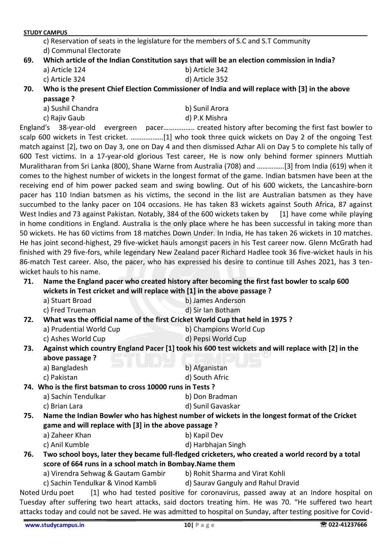c) Reservation of seats in the legislature for the members of S.C and S.T Community d) Communal Electorate

- **69. Which article of the Indian Constitution says that will be an election commission in India?**
	- a) Article 124 b) Article 342
	- c) Article 324 d) Article 352

**70. Who is the present Chief Election Commissioner of India and will replace with [3] in the above passage ?**

- a) Sushil Chandra b) Sunil Arora
- 

c) Rajiv Gaub d) P.K Mishra

England's 38-year-old evergreen pacer…………….. created history after becoming the first fast bowler to scalp 600 wickets in Test cricket. ………………[1] who took three quick wickets on Day 2 of the ongoing Test match against [2], two on Day 3, one on Day 4 and then dismissed Azhar Ali on Day 5 to complete his tally of 600 Test victims. In a 17-year-old glorious Test career, He is now only behind former spinners Muttiah Muralitharan from Sri Lanka (800), Shane Warne from Australia (708) and ……………[3] from India (619) when it comes to the highest number of wickets in the longest format of the game. Indian batsmen have been at the receiving end of him power packed seam and swing bowling. Out of his 600 wickets, the Lancashire-born pacer has 110 Indian batsmen as his victims, the second in the list are Australian batsmen as they have succumbed to the lanky pacer on 104 occasions. He has taken 83 wickets against South Africa, 87 against West Indies and 73 against Pakistan. Notably, 384 of the 600 wickets taken by [1] have come while playing in home conditions in England. Australia is the only place where he has been successful in taking more than 50 wickets. He has 60 victims from 18 matches Down Under. In India, He has taken 26 wickets in 10 matches. He has joint second-highest, 29 five-wicket hauls amongst pacers in his Test career now. Glenn McGrath had finished with 29 five-fors, while legendary New Zealand pacer Richard Hadlee took 36 five-wicket hauls in his 86-match Test career. Also, the pacer, who has expressed his desire to continue till Ashes 2021, has 3 tenwicket hauls to his name.

### **71. Name the England pacer who created history after becoming the first fast bowler to scalp 600 wickets in Test cricket and will replace with [1] in the above passage ?**

- a) Stuart Broad b) James Anderson
- c) Fred Trueman d) Sir Ian Botham

#### **72. What was the official name of the first Cricket World Cup that held in 1975 ?**

- a) Prudential World Cup b) Champions World Cup
	- c) Ashes World Cup d) Pepsi World Cup

## **73. Against which country England Pacer [1] took his 600 test wickets and will replace with [2] in the above passage ?**

|     | a) Bangladesh                                              | b) Afganistan                                                                                     |
|-----|------------------------------------------------------------|---------------------------------------------------------------------------------------------------|
|     | c) Pakistan                                                | d) South Afric                                                                                    |
|     | 74. Who is the first batsman to cross 10000 runs in Tests? |                                                                                                   |
|     | a) Sachin Tendulkar                                        | b) Don Bradman                                                                                    |
|     | c) Brian Lara                                              | d) Sunil Gavaskar                                                                                 |
| 75. |                                                            | Name the Indian Bowler who has highest number of wickets in the longest format of the Cricket     |
|     | game and will replace with [3] in the above passage?       |                                                                                                   |
|     | a) Zaheer Khan                                             | b) Kapil Dev                                                                                      |
|     | c) Anil Kumble                                             | d) Harbhajan Singh                                                                                |
| 76. | score of 664 runs in a school match in Bombay. Name them   | Two school boys, later they became full-fledged cricketers, who created a world record by a total |

- **score of 664 runs in a school match in Bombay.Name them**
	- a) Virendra Sehwag & Gautam Gambir b) Rohit Sharma and Virat Kohli
	- c) Sachin Tendulkar & Vinod Kambli d) Saurav Ganguly and Rahul Dravid

Noted Urdu poet [1] who had tested positive for coronavirus, passed away at an Indore hospital on Tuesday after suffering two heart attacks, said doctors treating him. He was 70. "He suffered two heart attacks today and could not be saved. He was admitted to hospital on Sunday, after testing positive for Covid-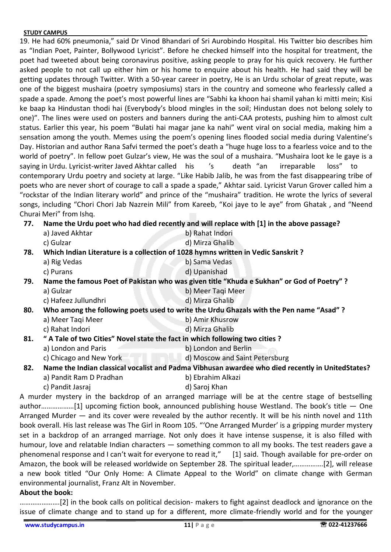19. He had 60% pneumonia," said Dr Vinod Bhandari of Sri Aurobindo Hospital. His Twitter bio describes him as "Indian Poet, Painter, Bollywood Lyricist". Before he checked himself into the hospital for treatment, the poet had tweeted about being coronavirus positive, asking people to pray for his quick recovery. He further asked people to not call up either him or his home to enquire about his health. He had said they will be getting updates through Twitter. With a 50-year career in poetry, He is an Urdu scholar of great repute, was one of the biggest mushaira (poetry symposiums) stars in the country and someone who fearlessly called a spade a spade. Among the poet's most powerful lines are "Sabhi ka khoon hai shamil yahan ki mitti mein; Kisi ke baap ka Hindustan thodi hai (Everybody's blood mingles in the soil; Hindustan does not belong solely to one)". The lines were used on posters and banners during the anti-CAA protests, pushing him to almost cult status. Earlier this year, his poem "Bulati hai magar jane ka nahi" went viral on social media, making him a sensation among the youth. Memes using the poem's opening lines flooded social media during Valentine's Day. Historian and author Rana Safvi termed the poet's death a "huge huge loss to a fearless voice and to the world of poetry". In fellow poet Gulzar's view, He was the soul of a mushaira. "Mushaira loot ke le gaye is a saying in Urdu. Lyricist-writer Javed Akhtar called his 's death "an irreparable loss" to contemporary Urdu poetry and society at large. "Like Habib Jalib, he was from the fast disappearing tribe of poets who are never short of courage to call a spade a spade," Akhtar said. Lyricist Varun Grover called him a "rockstar of the Indian literary world" and prince of the "mushaira" tradition. He wrote the lyrics of several songs, including "Chori Chori Jab Nazrein Mili" from Kareeb, "Koi jaye to le aye" from Ghatak , and "Neend Churai Meri" from Ishq.

**77. Name the Urdu poet who had died recently and will replace with [1] in the above passage?**

|     | a) Javed Akhtar         | b) Rahat Indori                                                                                  |
|-----|-------------------------|--------------------------------------------------------------------------------------------------|
|     | c) Gulzar               | d) Mirza Ghalib                                                                                  |
| 78. |                         | Which Indian Literature is a collection of 1028 hymns written in Vedic Sanskrit?                 |
|     | a) Rig Vedas            | b) Sama Vedas                                                                                    |
|     | c) Purans               | d) Upanishad                                                                                     |
| 79. |                         | Name the famous Poet of Pakistan who was given title "Khuda e Sukhan" or God of Poetry" ?        |
|     | a) Gulzar               | b) Meer Tagi Meer                                                                                |
|     | c) Hafeez Jullundhri    | d) Mirza Ghalib                                                                                  |
| 80. |                         | Who among the following poets used to write the Urdu Ghazals with the Pen name "Asad"?           |
|     | a) Meer Tagi Meer       | b) Amir Khusrow                                                                                  |
|     | c) Rahat Indori         | d) Mirza Ghalib                                                                                  |
| 81. |                         | " A Tale of two Cities" Novel state the fact in which following two cities?                      |
|     | a) London and Paris     | b) London and Berlin                                                                             |
|     | c) Chicago and New York | d) Moscow and Saint Petersburg                                                                   |
| 82. |                         | Name the Indian classical vocalist and Padma Vibhusan awardee who died recently in UnitedStates? |
|     | a) Pandit Ram D Pradhan | b) Ebrahim Alkazi                                                                                |
|     | c) Pandit Jasraj        | d) Saroj Khan                                                                                    |

A murder mystery in the backdrop of an arranged marriage will be at the centre stage of bestselling author………………[1] upcoming fiction book, announced publishing house Westland. The book's title — One Arranged Murder — and its cover were revealed by the author recently. It will be his ninth novel and 11th book overall. His last release was The Girl in Room 105. "'One Arranged Murder' is a gripping murder mystery set in a backdrop of an arranged marriage. Not only does it have intense suspense, it is also filled with humour, love and relatable Indian characters — something common to all my books. The test readers gave a phenomenal response and I can't wait for everyone to read it," [1] said. Though available for pre-order on Amazon, the book will be released worldwide on September 28. The spiritual leader,…………….[2], will release a new book titled "Our Only Home: A Climate Appeal to the World" on climate change with German environmental journalist, Franz Alt in November.

#### **About the book:**

………………….[2] in the book calls on political decision- makers to fight against deadlock and ignorance on the issue of climate change and to stand up for a different, more climate-friendly world and for the younger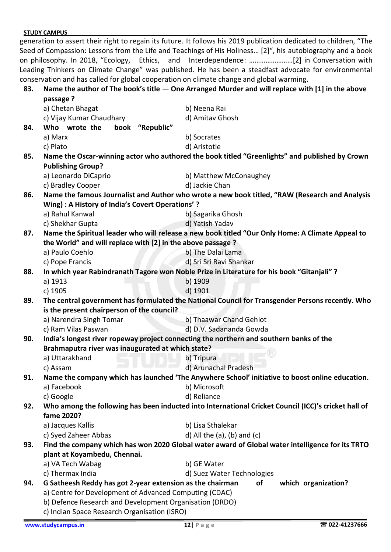|     |                                                                                          | generation to assert their right to regain its future. It follows his 2019 publication dedicated to children, "The |
|-----|------------------------------------------------------------------------------------------|--------------------------------------------------------------------------------------------------------------------|
|     |                                                                                          | Seed of Compassion: Lessons from the Life and Teachings of His Holiness [2]", his autobiography and a book         |
|     |                                                                                          |                                                                                                                    |
|     |                                                                                          | Leading Thinkers on Climate Change" was published. He has been a steadfast advocate for environmental              |
|     | conservation and has called for global cooperation on climate change and global warming. |                                                                                                                    |
| 83. |                                                                                          | Name the author of The book's title $-$ One Arranged Murder and will replace with [1] in the above                 |
|     | passage ?                                                                                |                                                                                                                    |
|     | a) Chetan Bhagat                                                                         | b) Neena Rai                                                                                                       |
|     | c) Vijay Kumar Chaudhary                                                                 | d) Amitav Ghosh                                                                                                    |
| 84. | Who wrote the<br>book "Republic"                                                         |                                                                                                                    |
|     | a) Marx                                                                                  | b) Socrates                                                                                                        |
|     | c) Plato                                                                                 | d) Aristotle                                                                                                       |
| 85. |                                                                                          | Name the Oscar-winning actor who authored the book titled "Greenlights" and published by Crown                     |
|     | <b>Publishing Group?</b>                                                                 |                                                                                                                    |
|     | a) Leonardo DiCaprio                                                                     | b) Matthew McConaughey                                                                                             |
|     | c) Bradley Cooper                                                                        | d) Jackie Chan                                                                                                     |
| 86. |                                                                                          | Name the famous Journalist and Author who wrote a new book titled, "RAW (Research and Analysis                     |
|     | Wing) : A History of India's Covert Operations'?                                         |                                                                                                                    |
|     | a) Rahul Kanwal                                                                          | b) Sagarika Ghosh                                                                                                  |
|     | c) Shekhar Gupta                                                                         | d) Yatish Yadav                                                                                                    |
| 87. |                                                                                          | Name the Spiritual leader who will release a new book titled "Our Only Home: A Climate Appeal to                   |
|     | the World" and will replace with [2] in the above passage ?                              |                                                                                                                    |
|     | a) Paulo Coehlo                                                                          | b) The Dalai Lama                                                                                                  |
|     | c) Pope Francis                                                                          | d) Sri Sri Ravi Shankar                                                                                            |
| 88. |                                                                                          | In which year Rabindranath Tagore won Noble Prize in Literature for his book "Gitanjali" ?                         |
|     | a) 1913                                                                                  | b) 1909                                                                                                            |
|     | c) 1905                                                                                  | d) 1901                                                                                                            |
| 89. |                                                                                          | The central government has formulated the National Council for Transgender Persons recently. Who                   |
|     | is the present chairperson of the council?                                               |                                                                                                                    |
|     | a) Narendra Singh Tomar                                                                  | b) Thaawar Chand Gehlot                                                                                            |
|     | c) Ram Vilas Paswan                                                                      | d) D.V. Sadananda Gowda                                                                                            |
| 90. |                                                                                          | India's longest river ropeway project connecting the northern and southern banks of the                            |
|     | Brahmaputra river was inaugurated at which state?                                        |                                                                                                                    |
|     | a) Uttarakhand                                                                           | b) Tripura                                                                                                         |
|     | c) Assam                                                                                 | d) Arunachal Pradesh                                                                                               |
| 91. |                                                                                          | Name the company which has launched 'The Anywhere School' initiative to boost online education.                    |
|     | a) Facebook<br>c) Google                                                                 | b) Microsoft<br>d) Reliance                                                                                        |
| 92. |                                                                                          | Who among the following has been inducted into International Cricket Council (ICC)'s cricket hall of               |
|     | fame 2020?                                                                               |                                                                                                                    |
|     | a) Jacques Kallis                                                                        | b) Lisa Sthalekar                                                                                                  |
|     | c) Syed Zaheer Abbas                                                                     | d) All the $(a)$ , $(b)$ and $(c)$                                                                                 |
| 93. |                                                                                          | Find the company which has won 2020 Global water award of Global water intelligence for its TRTO                   |
|     | plant at Koyambedu, Chennai.                                                             |                                                                                                                    |
|     | a) VA Tech Wabag                                                                         | b) GE Water                                                                                                        |
|     | c) Thermax India                                                                         | d) Suez Water Technologies                                                                                         |
| 94. | G Satheesh Reddy has got 2-year extension as the chairman                                | of<br>which organization?                                                                                          |
|     | a) Centre for Development of Advanced Computing (CDAC)                                   |                                                                                                                    |
|     | b) Defence Research and Development Organisation (DRDO)                                  |                                                                                                                    |
|     | c) Indian Space Research Organisation (ISRO)                                             |                                                                                                                    |
|     |                                                                                          |                                                                                                                    |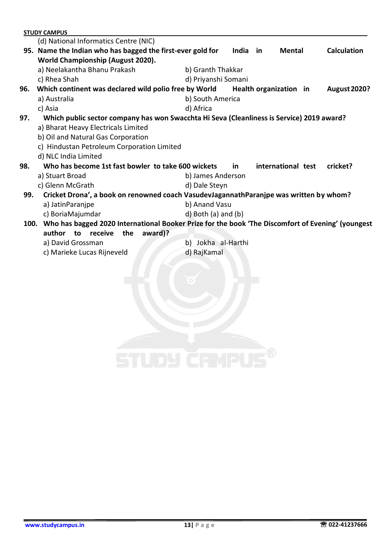|     | <b>STUDY CAMPUS</b>                                                                                    |                           |          |                    |                     |
|-----|--------------------------------------------------------------------------------------------------------|---------------------------|----------|--------------------|---------------------|
|     | (d) National Informatics Centre (NIC)                                                                  |                           |          |                    |                     |
|     | 95. Name the Indian who has bagged the first-ever gold for                                             |                           | India in | Mental             | <b>Calculation</b>  |
|     | World Championship (August 2020).                                                                      |                           |          |                    |                     |
|     | a) Neelakantha Bhanu Prakash                                                                           | b) Granth Thakkar         |          |                    |                     |
|     | c) Rhea Shah                                                                                           | d) Priyanshi Somani       |          |                    |                     |
| 96. | Which continent was declared wild polio free by World Health organization in                           |                           |          |                    | <b>August 2020?</b> |
|     | a) Australia                                                                                           | b) South America          |          |                    |                     |
|     | c) Asia                                                                                                | d) Africa                 |          |                    |                     |
| 97. | Which public sector company has won Swacchta Hi Seva (Cleanliness is Service) 2019 award?              |                           |          |                    |                     |
|     | a) Bharat Heavy Electricals Limited                                                                    |                           |          |                    |                     |
|     | b) Oil and Natural Gas Corporation                                                                     |                           |          |                    |                     |
|     | c) Hindustan Petroleum Corporation Limited                                                             |                           |          |                    |                     |
|     | d) NLC India Limited                                                                                   |                           |          |                    |                     |
| 98. | Who has become 1st fast bowler to take 600 wickets                                                     |                           | in.      | international test | cricket?            |
|     | a) Stuart Broad                                                                                        | b) James Anderson         |          |                    |                     |
|     | c) Glenn McGrath                                                                                       | d) Dale Steyn             |          |                    |                     |
| 99. | Cricket Drona', a book on renowned coach VasudevJagannathParanjpe was written by whom?                 |                           |          |                    |                     |
|     | a) JatinParanjpe                                                                                       | b) Anand Vasu             |          |                    |                     |
|     | c) BoriaMajumdar                                                                                       | $d)$ Both $(a)$ and $(b)$ |          |                    |                     |
|     | 100. Who has bagged 2020 International Booker Prize for the book 'The Discomfort of Evening' (youngest |                           |          |                    |                     |
|     | author<br>the<br>award)?<br>to receive                                                                 |                           |          |                    |                     |
|     | a) David Grossman                                                                                      | b) Jokha al-Harthi        |          |                    |                     |
|     | c) Marieke Lucas Rijneveld                                                                             | d) RajKamal               |          |                    |                     |
|     |                                                                                                        |                           |          |                    |                     |